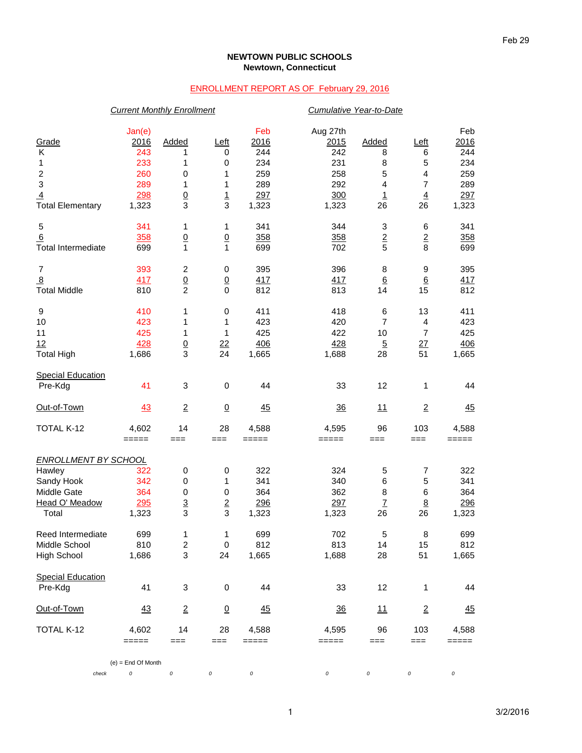## **NEWTOWN PUBLIC SCHOOLS Newtown, Connecticut**

## ENROLLMENT REPORT AS OF February 29, 2016

|                                     | <b>Current Monthly Enrollment</b> |                          |                 |                                                                                |                  | Cumulative Year-to-Date |                 |                 |  |  |  |
|-------------------------------------|-----------------------------------|--------------------------|-----------------|--------------------------------------------------------------------------------|------------------|-------------------------|-----------------|-----------------|--|--|--|
| Grade                               | Jan(e)<br>2016                    | Added                    | Left            | Feb<br>2016                                                                    | Aug 27th<br>2015 | Added                   | Left            | Feb<br>2016     |  |  |  |
| Κ                                   | 243                               | 1                        | 0               | 244                                                                            | 242              | 8                       | 6               | 244             |  |  |  |
| 1                                   | 233                               | 1                        | 0               | 234                                                                            | 231              | 8                       | 5               | 234             |  |  |  |
| $\overline{\mathbf{c}}$             | 260                               | 0                        | 1               | 259                                                                            | 258              | 5                       | 4               | 259             |  |  |  |
| $\ensuremath{\mathsf{3}}$           | 289                               | 1                        | 1               | 289                                                                            | 292              | 4                       | 7               | 289             |  |  |  |
| $\overline{4}$                      | 298                               | $\underline{0}$          | $\overline{1}$  | 297                                                                            | 300              | $\overline{1}$          | $\overline{4}$  | 297             |  |  |  |
| <b>Total Elementary</b>             | 1,323                             | $\mathsf 3$              | 3               | 1,323                                                                          | 1,323            | 26                      | 26              | 1,323           |  |  |  |
| $\mathbf 5$                         | 341                               | 1                        | 1               | 341                                                                            | 344              | 3                       | 6               | 341             |  |  |  |
| 6                                   | 358                               | $\underline{0}$          | $\underline{0}$ | 358                                                                            | 358              | $\sqrt{2}$              | $\mathbf 2$     | 358             |  |  |  |
| <b>Total Intermediate</b>           | 699                               | $\mathbf{1}$             | $\mathbf{1}$    | 699                                                                            | 702              | 5                       | 8               | 699             |  |  |  |
| 7                                   | 393                               | $\overline{c}$           | 0               | 395                                                                            | 396              | 8                       | 9               | 395             |  |  |  |
| $\overline{8}$                      | 417                               | $\underline{0}$          | $\overline{0}$  | 417                                                                            | 417              | $\underline{6}$         | $6\overline{6}$ | 417             |  |  |  |
| <b>Total Middle</b>                 | 810                               | $\overline{2}$           | $\mathbf 0$     | 812                                                                            | 813              | 14                      | 15              | 812             |  |  |  |
| 9                                   | 410                               | 1                        | 0               | 411                                                                            | 418              | 6                       | 13              | 411             |  |  |  |
| 10                                  | 423                               | 1                        | 1               | 423                                                                            | 420              | $\overline{7}$          | 4               | 423             |  |  |  |
| 11                                  | 425                               | 1                        | 1               | 425                                                                            | 422              | 10                      | $\overline{7}$  | 425             |  |  |  |
| 12                                  | 428                               | $\frac{0}{3}$            | 22              | 406                                                                            | 428              | $\overline{5}$          | 27              | 406             |  |  |  |
| <b>Total High</b>                   | 1,686                             |                          | 24              | 1,665                                                                          | 1,688            | 28                      | 51              | 1,665           |  |  |  |
| <b>Special Education</b><br>Pre-Kdg | 41                                | $\sqrt{3}$               | $\mathbf 0$     | 44                                                                             | 33               | 12                      | 1               | 44              |  |  |  |
|                                     |                                   |                          |                 |                                                                                |                  |                         |                 |                 |  |  |  |
| Out-of-Town                         | 43                                | $\overline{2}$           | $\overline{0}$  | 45                                                                             | 36               | 11                      | $\overline{2}$  | 45              |  |  |  |
| TOTAL K-12                          | 4,602                             | 14                       | 28              | 4,588                                                                          | 4,595            | 96                      | 103             | 4,588           |  |  |  |
|                                     | $=====$                           | $==$                     | $==$            | =====                                                                          | =====            | $==$                    | $==$            | =====           |  |  |  |
| <b>ENROLLMENT BY SCHOOL</b>         |                                   |                          |                 |                                                                                |                  |                         |                 |                 |  |  |  |
| Hawley                              | 322                               | $\pmb{0}$                | 0               | 322                                                                            | 324              | 5                       | 7               | 322             |  |  |  |
| Sandy Hook                          | 342                               | $\mathbf 0$              | 1               | 341                                                                            | 340              | 6                       | 5               | 341             |  |  |  |
| Middle Gate                         | 364                               | $\pmb{0}$                | 0               | 364                                                                            | 362              | 8                       | 6               | 364             |  |  |  |
| Head O' Meadow                      | 295                               | $\underline{\mathbf{3}}$ | $\overline{2}$  | 296                                                                            | 297              | $\overline{I}$          | $8\phantom{.}$  | 296             |  |  |  |
| Total                               | 1,323                             | 3                        | 3               | 1,323                                                                          | 1,323            | 26                      | 26              | 1,323           |  |  |  |
| Reed Intermediate                   | 699                               | $\mathbf{1}$             | 1               | 699                                                                            | 702              | $\mathbf 5$             | $\bf 8$         | 699             |  |  |  |
| Middle School                       | 810                               | $\boldsymbol{2}$         | $\pmb{0}$       | 812                                                                            | 813              | 14                      | 15              | 812             |  |  |  |
| <b>High School</b>                  | 1,686                             | $\mathsf 3$              | 24              | 1,665                                                                          | 1,688            | 28                      | 51              | 1,665           |  |  |  |
| <b>Special Education</b>            |                                   |                          |                 |                                                                                |                  |                         |                 |                 |  |  |  |
| Pre-Kdg                             | 41                                | 3                        | $\pmb{0}$       | 44                                                                             | 33               | 12                      | 1               | 44              |  |  |  |
| Out-of-Town                         | $\frac{43}{5}$                    | $\overline{2}$           | $\overline{0}$  | 45                                                                             | $\frac{36}{5}$   | 11                      | $\overline{2}$  | $\overline{45}$ |  |  |  |
| TOTAL K-12                          | 4,602                             | 14                       | 28              | 4,588                                                                          | 4,595            | 96                      | 103             | 4,588           |  |  |  |
|                                     | =====                             | $==$                     | $==$            | $\qquad \qquad \doteq \qquad \qquad \doteq \qquad \qquad \doteq \qquad \qquad$ | =====            | $==$                    | $==$            | =====           |  |  |  |
|                                     | $(e)$ = End Of Month              |                          |                 |                                                                                |                  |                         |                 |                 |  |  |  |
| check                               | 0                                 | 0                        | 0               | $\cal O$                                                                       | 0                | 0                       | 0               | 0               |  |  |  |